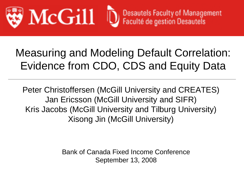

Desautels Faculty of Management<br>Faculté de gestion Desautels

# Measuring and Modeling Default Correlation: Evidence from CDO, CDS and Equity Data

Peter Christoffersen (McGill University and CREATES) Jan Ericsson (McGill University and SIFR) Kris Jacobs (McGill University and Tilburg University) Xisong Jin (McGill University)

> Bank of Canada Fixed Income Conference September 13, 2008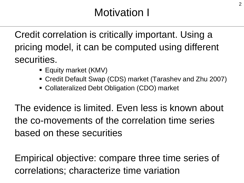## Motivation I

Credit correlation is critically important. Using a pricing model, it can be computed using different securities.

- Equity market (KMV)
- Credit Default Swap (CDS) market (Tarashev and Zhu 2007)
- Collateralized Debt Obligation (CDO) market

The evidence is limited. Even less is known about the co-movements of the correlation time series based on these securities

Empirical objective: compare three time series of correlations; characterize time variation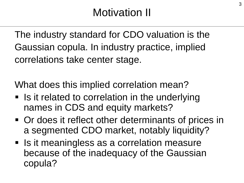The industry standard for CDO valuation is the Gaussian copula. In industry practice, implied correlations take center stage.

What does this implied correlation mean?

- **If is it related to correlation in the underlying** names in CDS and equity markets?
- Or does it reflect other determinants of prices in a segmented CDO market, notably liquidity?
- **Is it meaningless as a correlation measure** because of the inadequacy of the Gaussian copula?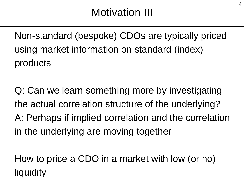Non-standard (bespoke) CDOs are typically priced using market information on standard (index) products

Q: Can we learn something more by investigating the actual correlation structure of the underlying? A: Perhaps if implied correlation and the correlation in the underlying are moving together

How to price a CDO in a market with low (or no) liquidity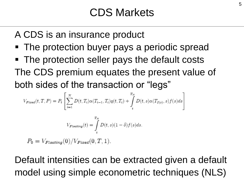A CDS is an insurance product

- The protection buyer pays a periodic spread
- The protection seller pays the default costs The CDS premium equates the present value of both sides of the transaction or "legs"

$$
V_{Fixed}(t, T, P) = P_t \left[ \sum_{i=1}^{N} D(t, T_i) \alpha(T_{i-1}, T_i) q(t, T_i) + \int_{t}^{T_N} D(t, s) \alpha(T_{I(s)}, s) f(s) ds \right]
$$

$$
V_{Floading}(t) = \int_{t}^{T_N} D(t, s) (1 - \delta) f(s) ds.
$$

 $P_0 = V_{Floating}(0)/V_{Fized}(0, T, 1).$ 

Default intensities can be extracted given a default model using simple econometric techniques (NLS)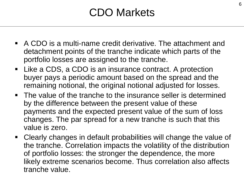## CDO Markets

- A CDO is a multi-name credit derivative. The attachment and detachment points of the tranche indicate which parts of the portfolio losses are assigned to the tranche.
- Like a CDS, a CDO is an insurance contract. A protection buyer pays a periodic amount based on the spread and the remaining notional, the original notional adjusted for losses.
- The value of the tranche to the insurance seller is determined by the difference between the present value of these payments and the expected present value of the sum of loss changes. The par spread for a new tranche is such that this value is zero.
- Clearly changes in default probabilities will change the value of the tranche. Correlation impacts the volatility of the distribution of portfolio losses: the stronger the dependence, the more likely extreme scenarios become. Thus correlation also affects tranche value.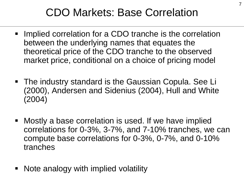## CDO Markets: Base Correlation

- **IMPLE 10 Fig. 2** Implied correlation for a CDO tranche is the correlation between the underlying names that equates the theoretical price of the CDO tranche to the observed market price, conditional on a choice of pricing model
- The industry standard is the Gaussian Copula. See Li (2000), Andersen and Sidenius (2004), Hull and White (2004)
- Mostly a base correlation is used. If we have implied correlations for 0-3%, 3-7%, and 7-10% tranches, we can compute base correlations for 0-3%, 0-7%, and 0-10% tranches
- Note analogy with implied volatility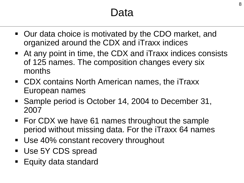### Data

- Our data choice is motivated by the CDO market, and organized around the CDX and iTraxx indices
- At any point in time, the CDX and iTraxx indices consists of 125 names. The composition changes every six months
- CDX contains North American names, the iTraxx European names
- Sample period is October 14, 2004 to December 31, 2007
- For CDX we have 61 names throughout the sample period without missing data. For the iTraxx 64 names
- Use 40% constant recovery throughout
- **Use 5Y CDS spread**
- **Equity data standard**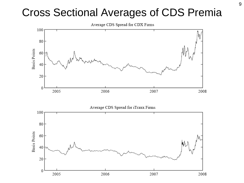### Cross Sectional Averages of CDS Premia

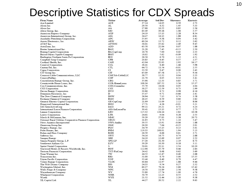#### Descriptive Statistics for CDX Spreads

| Firm Name                                                | Ticker          | Average | <b>Std Dev</b> | Skewness | Kurtosis |
|----------------------------------------------------------|-----------------|---------|----------------|----------|----------|
| Ace Limited                                              | ACE             | 37.14   | 14.05          | 0.59     | 2.73     |
| Alean Inc.                                               | AL              | 29.50   | 8.32           | 1.45     | 533      |
| Alcoa Inc.                                               | AA              | 27.88   | 10.55          | 0.85     | 2.56     |
| Altria Group, Inc.                                       | MO              | 63.49   | 39.18          | 1.06     | 3.57     |
| American Express Company                                 | AXP             | 24.19   | 15.13          | 2.28     | 834      |
| American International Group, Inc.                       | AIG             | 24.47   | 16.13          | 1.88     | 6.81     |
| Anadarko Petroleum Corporation                           | APC             | 35.95   | 9.38           | 0.94     | 3.42     |
| Arrow Electronics, Inc.                                  | ARW             | 60.24   | 13.72          | 0.12     | 2.62     |
| AT&T Inc.                                                | ATTINC          | 38.01   | 35.82          | 2.49     | 9.45     |
| AutoZone. Inc.                                           | AZO             | 63.58   | 22.84          | 0.07     | 1.88     |
| Baxter International Inc.                                | BAX             | 21.28   | 7.45           | $-0.15$  | 2.50     |
| Boeing Capital Corporation                               | BA-CapCorp      | 16.78   | 7.00           | 0.43     | 2.33     |
| Bristol-Myers Squibb Company                             | <b>BMY</b>      | 18.02   | 5.62           | $-0.09$  | 1.92     |
| Burlington Northern Santa Fe Corporation                 | BNI             | 26.56   | 6.70           | 1.13     | 4.51     |
| Campbell Soup Company                                    | CPB             | 20.83   | 6.45           | 0.37     | 237      |
| Cardinal Health, Inc.                                    | CAH             | 42.04   | 22.83          | 2.92     | 16.17    |
| Camival Corporation                                      | CCL             | 28.41   | 8.40           | 1.46     | 5.98     |
| CenturyTel, Inc.                                         | CTL             | 64.72   | 11.54          | $-0.01$  | 2.55     |
| Cigna Corporation                                        | CI              | 33.59   | 9.47           | 0.00     | 2.43     |
| CIT Group Inc.                                           | CIT             | 65.09   | 87.58          | 2.71     | 9.36     |
| Comcast Cable Communications, LLC                        | CMCSA-CableLLC  | 38.77   | 12.32          | 0.04     | 2.23     |
| ConocoPhillips                                           | COP             | 21.70   | 6.05           | 0.32     | 3.41     |
| Constellation Energy Group, Inc.                         | <b>CEG</b>      | 35.98   | 12.33          | 0.85     | 3.71     |
| Countrywide Home Loans, Inc.                             | CCR-HomeLoans   | 108.36  | 187.52         | 3.56     | 15.37    |
| Cox Communications, Inc.                                 | COX-CommInc     | 55.79   | 18.04          | 0.05     | 4.04     |
| CSX Corporation                                          | $_{\rm{csx}}$   | 38.27   | 12.59          | 0.73     | 2.99     |
| Devon Energy Corporation                                 | <b>DVN</b>      | 30.86   | 8.72           | 0.98     | 6.16     |
| Dominion Resources, Inc.                                 | D               | 35.47   | 9.71           | $-0.66$  | 2.41     |
| The Dow Chemical Company                                 | <b>DOW</b>      | 26.94   | 7.15           | 0.74     | 3.58     |
| Eastman Chemical Company                                 | <b>EMN</b>      | 46.45   | 8.59           | 0.60     | 2.82     |
| General Electric Capital Corporation                     | GE-CapCorp      | 21.99   | 11.09          | 2.12     | 8.06     |
| Honeywell International Inc.                             | HON             | 17.71   | 4.26           | $-0.01$  | 3.21     |
| IAC/InterActiveCorp                                      | <b>IACI</b>     | 99.11   | 23.21          | 0.72     | 4.24     |
| International Lease Finance Corporation                  | AIG-IntLeaseFin | 30.41   | 13.13          | 0.77     | 2.75     |
| Lennar Corporation                                       | LEN             | 115.32  | 124.14         | 2.82     | 10.38    |
| Loews Corporation                                        | <b>LTR</b>      | 24.61   | 9.04           | 0.28     | 2.53     |
| Marsh & McLennan, Inc.                                   | MMC             | 59.29   | 27.83          | 3.38     | 20.73    |
| National Rural Utilities Cooperative Finance Corporation | NRUC            | 21.95   | 9.75           | 1.10     | 5.47     |
| News America Incorporated                                | NWS-AmInc       | 39.55   | 13.91          | $-0.06$  | 1.88     |
| Omnicom Group Inc.                                       | OMC             | 26.30   | 7.64           | $-0.25$  | 2.01     |
| Progress Energy, Inc.                                    | PGN             | 34.79   | 15.15          | 0.13     | 3.01     |
| Pulte Homes, Inc.                                        | PHM             | 119.33  | 108.01         | 1.94     | 5.13     |
| Rohm and Haas Company                                    | ROH             | 26.59   | 6.66           | 0.61     | 3.71     |
| Safeway Inc.                                             | SWY             | 54.16   | 16.75          | 0.74     | 2.88     |
| Sempra Energy                                            | SRE             | 34.19   | 12.69          | 0.07     | 2.52     |
| Simon Property Group, L.P.                               | SPG-LP          | 37.20   | 21.30          | 2.19     | 8.73     |
| Southwest Airlines Co.                                   | LUV             | 39.29   | 10.30          | 0.18     | 3.11     |
| Sprint Nextel Corporation                                | s               | 50.01   | 22.11          | 2.54     | 10.20    |
| Starwood Hotels & Resorts Worldwide, Inc.                | HOT             | 112.96  | 25.79          | 0.46     | 2.84     |
| Textron Financial Corporation                            | TXT-FinCorp     | 24.42   | 8.68           | 0.62     | 3.69     |
| Time Warner Inc.                                         | TW              | 44.53   | 12.47          | 0.40     | 2.68     |
| Transocean Inc.                                          | RIG             | 31.00   | 8.70           | 3.00     | 15.35    |
| Union Pacific Corporation                                | UNP             | 33.46   | 8.49           | 0.79     | 4.47     |
| Valero Energy Corporation                                | <b>VLOC</b>     | 40.84   | 11.97          | 1.88     | 9.46     |
| The Walt Disney Company                                  | <b>DIS</b>      | 24.33   | 9.54           | 0.27     | 232      |
| Washington Mutual, Inc.                                  | WM              | 60.27   | 78.24          | 3.60     | 15.42    |
| Wells Fargo & Company                                    | WFC             | 16.50   | 11.89          | 2.56     | 9.58     |
| Weyerhaeuser Company                                     | WY              | 53.80   | 17.74          | 1.00     | 4.76     |
| Whirlpool Corporation                                    | WHR             | 50.79   | 12.23          | 0.55     | 2.52     |
| Wyeth                                                    | WYE             | 21.52   | 11.44          | 2.20     | 9.38     |
| XL Capital Ltd.                                          | XL              | 44.27   | 20.52          | 2.22     | 9.63     |
|                                                          |                 |         |                |          |          |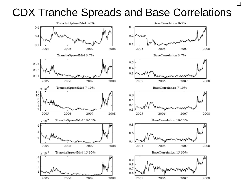#### CDX Tranche Spreads and Base Correlations

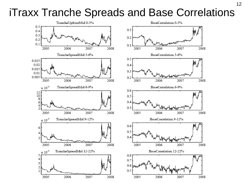#### iTraxx Tranche Spreads and Base Correlations

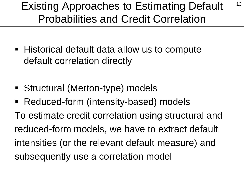### Existing Approaches to Estimating Default <sup>13</sup> Probabilities and Credit Correlation

- Historical default data allow us to compute default correlation directly
- Structural (Merton-type) models
- Reduced-form (intensity-based) models

To estimate credit correlation using structural and reduced-form models, we have to extract default intensities (or the relevant default measure) and subsequently use a correlation model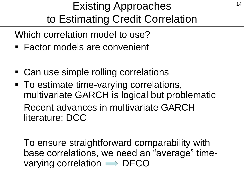## Existing Approaches 14 to Estimating Credit Correlation

Which correlation model to use?

- Factor models are convenient
- Can use simple rolling correlations
- To estimate time-varying correlations, multivariate GARCH is logical but problematic Recent advances in multivariate GARCH literature: DCC

To ensure straightforward comparability with base correlations, we need an "average" timevarying correlation  $\implies$  DECO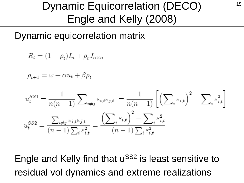## Dynamic Equicorrelation (DECO) 15 Engle and Kelly (2008)

Dynamic equicorrelation matrix

$$
R_t = (1 - \rho_t)I_n + \rho_t J_{n \times n}
$$

$$
\rho_{t+1} = \omega + \alpha u_t + \beta \rho_t
$$

$$
u_t^{SS1} = \frac{1}{n(n-1)} \sum_{i \neq j} \varepsilon_{i,t} \varepsilon_{j,t} = \frac{1}{n(n-1)} \left[ \left( \sum_i \varepsilon_{i,t} \right)^2 - \sum_i \varepsilon_{i,t}^2 \right]
$$

$$
u_t^{SS2} = \frac{\sum_{i \neq j} \varepsilon_{i,t} \varepsilon_{j,t}}{(n-1) \sum_i \varepsilon_{i,t}^2} = \frac{\left( \sum_i \varepsilon_{i,t} \right)^2 - \sum_i \varepsilon_{i,t}^2}{(n-1) \sum_i \varepsilon_{i,t}^2}
$$

Engle and Kelly find that u<sup>SS2</sup> is least sensitive to residual vol dynamics and extreme realizations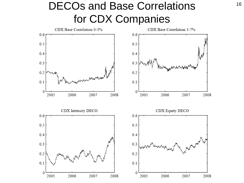### DECOs and Base Correlations 16 for CDX Companies

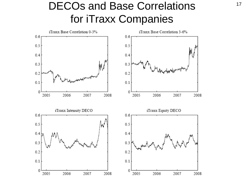### DECOs and Base Correlations 17 for iTraxx Companies

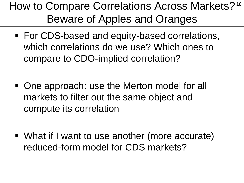## How to Compare Correlations Across Markets? <sup>18</sup> Beware of Apples and Oranges

- For CDS-based and equity-based correlations, which correlations do we use? Which ones to compare to CDO-implied correlation?
- One approach: use the Merton model for all markets to filter out the same object and compute its correlation
- What if I want to use another (more accurate) reduced-form model for CDS markets?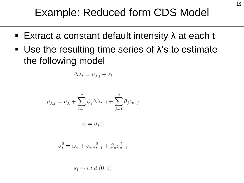- Extract a constant default intensity  $\lambda$  at each t
- Use the resulting time series of  $\lambda$ 's to estimate the following model

$$
\Delta \lambda_t = \mu_{\lambda, t} + z_t
$$

$$
\mu_{\lambda,t} = \mu_{\lambda} + \sum_{i=1}^{p} \phi_i \Delta \lambda_{t-i} + \sum_{j=1}^{q} \theta_j z_{t-j}
$$

$$
z_t = \sigma_t \varepsilon_t
$$

$$
\sigma_t^2 = \omega_\sigma + \alpha_\sigma z_{t-1}^2 + \beta_\sigma \sigma_{t-1}^2
$$

 $\varepsilon_t \sim i.i.d. (0,1)$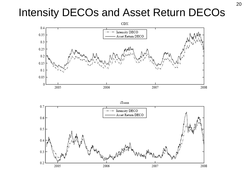### Intensity DECOs and Asset Return DECOs



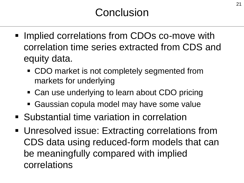- **Implied correlations from CDOs co-move with** correlation time series extracted from CDS and equity data.
	- CDO market is not completely segmented from markets for underlying
	- Can use underlying to learn about CDO pricing
	- Gaussian copula model may have some value
- **Substantial time variation in correlation**
- Unresolved issue: Extracting correlations from CDS data using reduced-form models that can be meaningfully compared with implied correlations